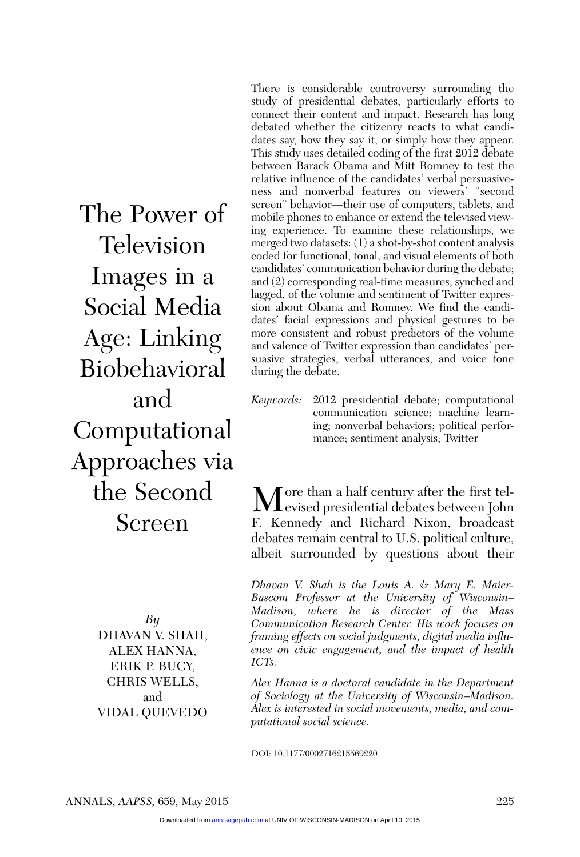The Power of Television Images in a Social Media Age: Linking Biobehavioral and Computational Approaches via the Second Screen

> *By* Dhavan V. Shah, Alex Hanna, Erik P. Bucy, CHRIS WELLS, and Vidal Quevedo

There is considerable controversy surrounding the study of presidential debates, particularly efforts to connect their content and impact. Research has long debated whether the citizenry reacts to what candidates say, how they say it, or simply how they appear. This study uses detailed coding of the first 2012 debate between Barack Obama and Mitt Romney to test the relative influence of the candidates' verbal persuasiveness and nonverbal features on viewers' "second screen" behavior—their use of computers, tablets, and mobile phones to enhance or extend the televised viewing experience. To examine these relationships, we merged two datasets: (1) a shot-by-shot content analysis coded for functional, tonal, and visual elements of both candidates' communication behavior during the debate; and (2) corresponding real-time measures, synched and lagged, of the volume and sentiment of Twitter expression about Obama and Romney. We find the candidates' facial expressions and physical gestures to be more consistent and robust predictors of the volume and valence of Twitter expression than candidates' persuasive strategies, verbal utterances, and voice tone during the debate.

*Keywords:* 2012 presidential debate; computational communication science; machine learning; nonverbal behaviors; political performance; sentiment analysis; Twitter

More than a half century after the first tel-<br>External of the between John F. Kennedy and Richard Nixon, broadcast debates remain central to U.S. political culture, albeit surrounded by questions about their

*Dhavan V. Shah is the Louis A. & Mary E. Maier-Bascom Professor at the University of Wisconsin– Madison, where he is director of the Mass Communication Research Center. His work focuses on framing effects on social judgments, digital media influence on civic engagement, and the impact of health ICTs.*

*Alex Hanna is a doctoral candidate in the Department of Sociology at the University of Wisconsin–Madison. Alex is interested in social movements, media, and computational social science.*

DOI: 10.1177/0002716215569220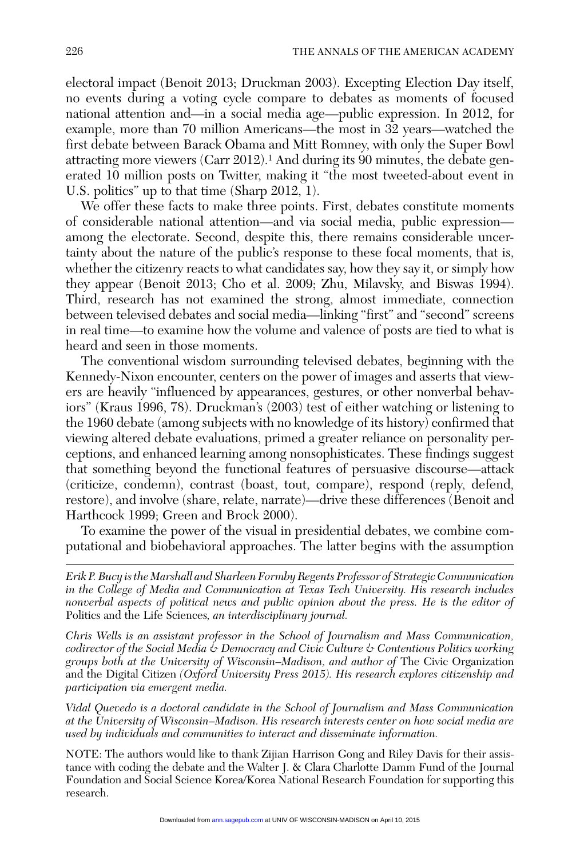electoral impact (Benoit 2013; Druckman 2003). Excepting Election Day itself, no events during a voting cycle compare to debates as moments of focused national attention and—in a social media age—public expression. In 2012, for example, more than 70 million Americans—the most in 32 years—watched the first debate between Barack Obama and Mitt Romney, with only the Super Bowl attracting more viewers (Carr 2012).1 And during its 90 minutes, the debate generated 10 million posts on Twitter, making it "the most tweeted-about event in U.S. politics" up to that time (Sharp 2012, 1).

We offer these facts to make three points. First, debates constitute moments of considerable national attention—and via social media, public expression among the electorate. Second, despite this, there remains considerable uncertainty about the nature of the public's response to these focal moments, that is, whether the citizenry reacts to what candidates say, how they say it, or simply how they appear (Benoit 2013; Cho et al. 2009; Zhu, Milavsky, and Biswas 1994). Third, research has not examined the strong, almost immediate, connection between televised debates and social media—linking "first" and "second" screens in real time—to examine how the volume and valence of posts are tied to what is heard and seen in those moments.

The conventional wisdom surrounding televised debates, beginning with the Kennedy-Nixon encounter, centers on the power of images and asserts that viewers are heavily "influenced by appearances, gestures, or other nonverbal behaviors" (Kraus 1996, 78). Druckman's (2003) test of either watching or listening to the 1960 debate (among subjects with no knowledge of its history) confirmed that viewing altered debate evaluations, primed a greater reliance on personality perceptions, and enhanced learning among nonsophisticates. These findings suggest that something beyond the functional features of persuasive discourse—attack (criticize, condemn), contrast (boast, tout, compare), respond (reply, defend, restore), and involve (share, relate, narrate)—drive these differences (Benoit and Harthcock 1999; Green and Brock 2000).

To examine the power of the visual in presidential debates, we combine computational and biobehavioral approaches. The latter begins with the assumption

*Erik P. Bucy is the Marshall and Sharleen Formby Regents Professor of Strategic Communication in the College of Media and Communication at Texas Tech University. His research includes*  nonverbal aspects of political news and public opinion about the press. He is the editor of Politics and the Life Sciences*, an interdisciplinary journal.*

*Chris Wells is an assistant professor in the School of Journalism and Mass Communication, codirector of the Social Media & Democracy and Civic Culture & Contentious Politics working groups both at the University of Wisconsin–Madison, and author of* The Civic Organization and the Digital Citizen *(Oxford University Press 2015). His research explores citizenship and participation via emergent media.*

*Vidal Quevedo is a doctoral candidate in the School of Journalism and Mass Communication at the University of Wisconsin–Madison. His research interests center on how social media are used by individuals and communities to interact and disseminate information.*

NOTE: The authors would like to thank Zijian Harrison Gong and Riley Davis for their assistance with coding the debate and the Walter J. & Clara Charlotte Damm Fund of the Journal Foundation and Social Science Korea/Korea National Research Foundation for supporting this research.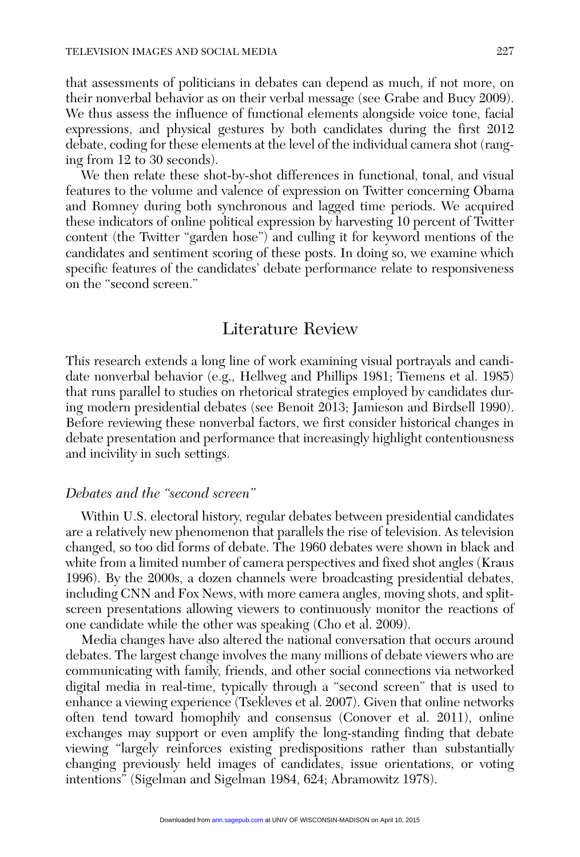that assessments of politicians in debates can depend as much, if not more, on their nonverbal behavior as on their verbal message (see Grabe and Bucy 2009). We thus assess the influence of functional elements alongside voice tone, facial expressions, and physical gestures by both candidates during the first 2012 debate, coding for these elements at the level of the individual camera shot (ranging from 12 to 30 seconds).

We then relate these shot-by-shot differences in functional, tonal, and visual features to the volume and valence of expression on Twitter concerning Obama and Romney during both synchronous and lagged time periods. We acquired these indicators of online political expression by harvesting 10 percent of Twitter content (the Twitter "garden hose") and culling it for keyword mentions of the candidates and sentiment scoring of these posts. In doing so, we examine which specific features of the candidates' debate performance relate to responsiveness on the "second screen."

### Literature Review

This research extends a long line of work examining visual portrayals and candidate nonverbal behavior (e.g., Hellweg and Phillips 1981; Tiemens et al. 1985) that runs parallel to studies on rhetorical strategies employed by candidates during modern presidential debates (see Benoit 2013; Jamieson and Birdsell 1990). Before reviewing these nonverbal factors, we first consider historical changes in debate presentation and performance that increasingly highlight contentiousness and incivility in such settings.

#### *Debates and the "second screen"*

Within U.S. electoral history, regular debates between presidential candidates are a relatively new phenomenon that parallels the rise of television. As television changed, so too did forms of debate. The 1960 debates were shown in black and white from a limited number of camera perspectives and fixed shot angles (Kraus 1996). By the 2000s, a dozen channels were broadcasting presidential debates, including CNN and Fox News, with more camera angles, moving shots, and splitscreen presentations allowing viewers to continuously monitor the reactions of one candidate while the other was speaking (Cho et al. 2009).

Media changes have also altered the national conversation that occurs around debates. The largest change involves the many millions of debate viewers who are communicating with family, friends, and other social connections via networked digital media in real-time, typically through a "second screen" that is used to enhance a viewing experience (Tsekleves et al. 2007). Given that online networks often tend toward homophily and consensus (Conover et al. 2011), online exchanges may support or even amplify the long-standing finding that debate viewing "largely reinforces existing predispositions rather than substantially changing previously held images of candidates, issue orientations, or voting intentions" (Sigelman and Sigelman 1984, 624; Abramowitz 1978).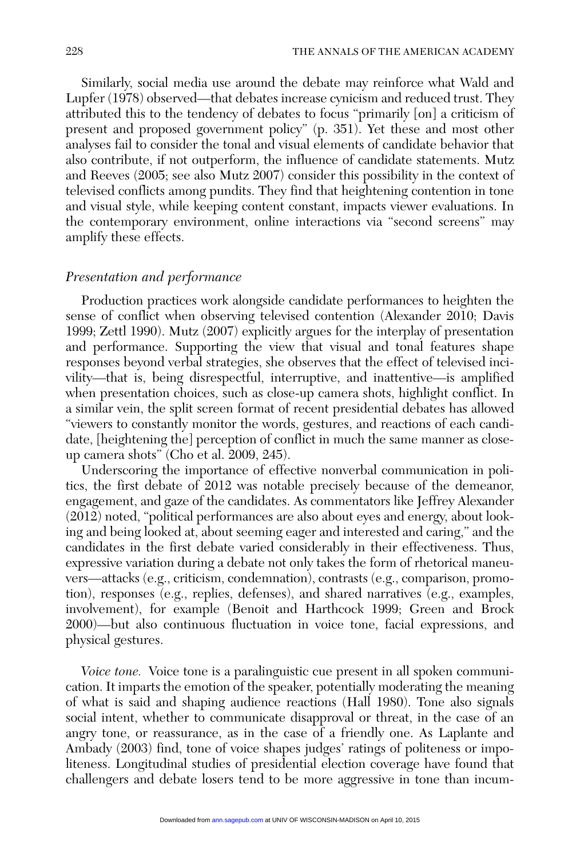Similarly, social media use around the debate may reinforce what Wald and Lupfer (1978) observed—that debates increase cynicism and reduced trust. They attributed this to the tendency of debates to focus "primarily [on] a criticism of present and proposed government policy" (p. 351). Yet these and most other analyses fail to consider the tonal and visual elements of candidate behavior that also contribute, if not outperform, the influence of candidate statements. Mutz and Reeves (2005; see also Mutz 2007) consider this possibility in the context of televised conflicts among pundits. They find that heightening contention in tone and visual style, while keeping content constant, impacts viewer evaluations. In the contemporary environment, online interactions via "second screens" may amplify these effects.

#### *Presentation and performance*

Production practices work alongside candidate performances to heighten the sense of conflict when observing televised contention (Alexander 2010; Davis 1999; Zettl 1990). Mutz (2007) explicitly argues for the interplay of presentation and performance. Supporting the view that visual and tonal features shape responses beyond verbal strategies, she observes that the effect of televised incivility—that is, being disrespectful, interruptive, and inattentive—is amplified when presentation choices, such as close-up camera shots, highlight conflict. In a similar vein, the split screen format of recent presidential debates has allowed "viewers to constantly monitor the words, gestures, and reactions of each candidate, [heightening the] perception of conflict in much the same manner as closeup camera shots" (Cho et al. 2009, 245).

Underscoring the importance of effective nonverbal communication in politics, the first debate of 2012 was notable precisely because of the demeanor, engagement, and gaze of the candidates. As commentators like Jeffrey Alexander (2012) noted, "political performances are also about eyes and energy, about looking and being looked at, about seeming eager and interested and caring," and the candidates in the first debate varied considerably in their effectiveness. Thus, expressive variation during a debate not only takes the form of rhetorical maneuvers—attacks (e.g., criticism, condemnation), contrasts (e.g., comparison, promotion), responses (e.g., replies, defenses), and shared narratives (e.g., examples, involvement), for example (Benoit and Harthcock 1999; Green and Brock 2000)—but also continuous fluctuation in voice tone, facial expressions, and physical gestures.

*Voice tone.* Voice tone is a paralinguistic cue present in all spoken communication. It imparts the emotion of the speaker, potentially moderating the meaning of what is said and shaping audience reactions (Hall 1980). Tone also signals social intent, whether to communicate disapproval or threat, in the case of an angry tone, or reassurance, as in the case of a friendly one. As Laplante and Ambady (2003) find, tone of voice shapes judges' ratings of politeness or impoliteness. Longitudinal studies of presidential election coverage have found that challengers and debate losers tend to be more aggressive in tone than incum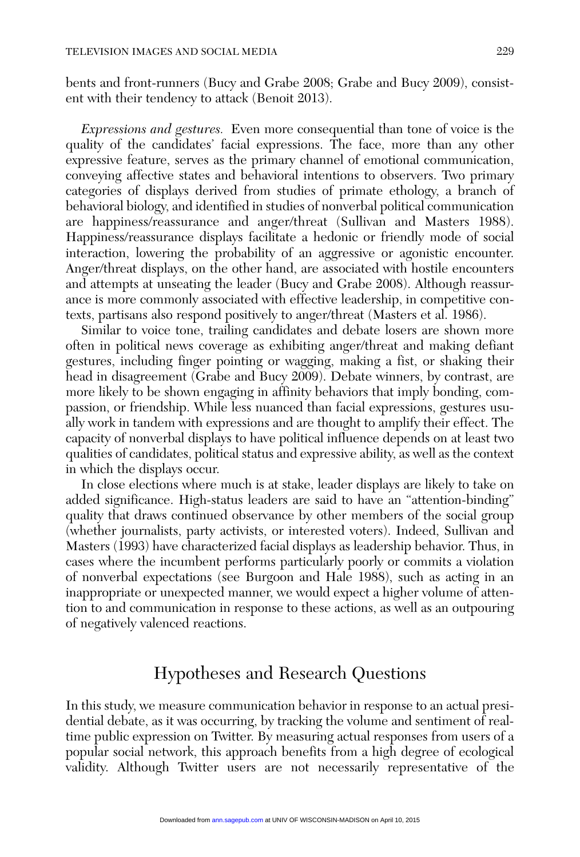bents and front-runners (Bucy and Grabe 2008; Grabe and Bucy 2009), consistent with their tendency to attack (Benoit 2013).

*Expressions and gestures.* Even more consequential than tone of voice is the quality of the candidates' facial expressions. The face, more than any other expressive feature, serves as the primary channel of emotional communication, conveying affective states and behavioral intentions to observers. Two primary categories of displays derived from studies of primate ethology, a branch of behavioral biology, and identified in studies of nonverbal political communication are happiness/reassurance and anger/threat (Sullivan and Masters 1988). Happiness/reassurance displays facilitate a hedonic or friendly mode of social interaction, lowering the probability of an aggressive or agonistic encounter. Anger/threat displays, on the other hand, are associated with hostile encounters and attempts at unseating the leader (Bucy and Grabe 2008). Although reassurance is more commonly associated with effective leadership, in competitive contexts, partisans also respond positively to anger/threat (Masters et al. 1986).

Similar to voice tone, trailing candidates and debate losers are shown more often in political news coverage as exhibiting anger/threat and making defiant gestures, including finger pointing or wagging, making a fist, or shaking their head in disagreement (Grabe and Bucy 2009). Debate winners, by contrast, are more likely to be shown engaging in affinity behaviors that imply bonding, compassion, or friendship. While less nuanced than facial expressions, gestures usually work in tandem with expressions and are thought to amplify their effect. The capacity of nonverbal displays to have political influence depends on at least two qualities of candidates, political status and expressive ability, as well as the context in which the displays occur.

In close elections where much is at stake, leader displays are likely to take on added significance. High-status leaders are said to have an "attention-binding" quality that draws continued observance by other members of the social group (whether journalists, party activists, or interested voters). Indeed, Sullivan and Masters (1993) have characterized facial displays as leadership behavior. Thus, in cases where the incumbent performs particularly poorly or commits a violation of nonverbal expectations (see Burgoon and Hale 1988), such as acting in an inappropriate or unexpected manner, we would expect a higher volume of attention to and communication in response to these actions, as well as an outpouring of negatively valenced reactions.

# Hypotheses and Research Questions

In this study, we measure communication behavior in response to an actual presidential debate, as it was occurring, by tracking the volume and sentiment of realtime public expression on Twitter. By measuring actual responses from users of a popular social network, this approach benefits from a high degree of ecological validity. Although Twitter users are not necessarily representative of the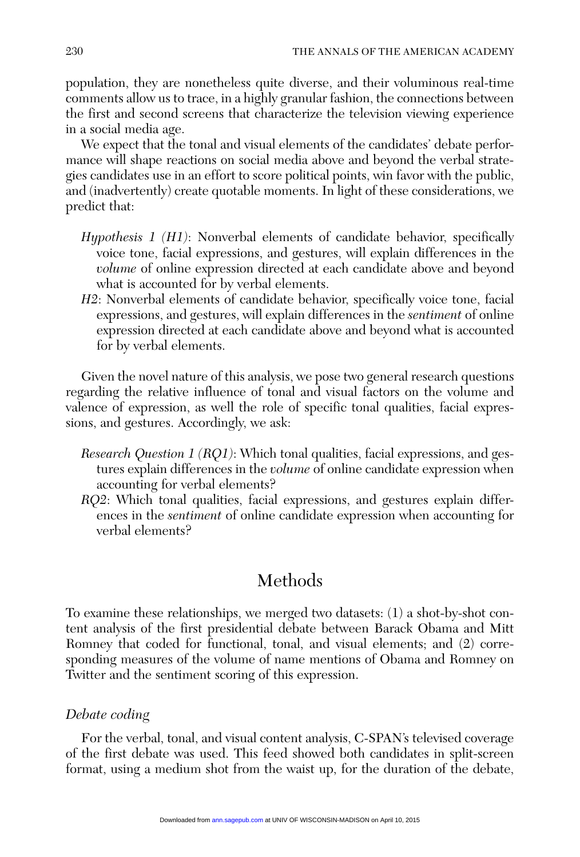population, they are nonetheless quite diverse, and their voluminous real-time comments allow us to trace, in a highly granular fashion, the connections between the first and second screens that characterize the television viewing experience in a social media age.

We expect that the tonal and visual elements of the candidates' debate performance will shape reactions on social media above and beyond the verbal strategies candidates use in an effort to score political points, win favor with the public, and (inadvertently) create quotable moments. In light of these considerations, we predict that:

- *Hypothesis 1 (H1)*: Nonverbal elements of candidate behavior, specifically voice tone, facial expressions, and gestures, will explain differences in the *volume* of online expression directed at each candidate above and beyond what is accounted for by verbal elements.
- *H2*: Nonverbal elements of candidate behavior, specifically voice tone, facial expressions, and gestures, will explain differences in the *sentiment* of online expression directed at each candidate above and beyond what is accounted for by verbal elements.

Given the novel nature of this analysis, we pose two general research questions regarding the relative influence of tonal and visual factors on the volume and valence of expression, as well the role of specific tonal qualities, facial expressions, and gestures. Accordingly, we ask:

- *Research Question 1 (RQ1)*: Which tonal qualities, facial expressions, and gestures explain differences in the *volume* of online candidate expression when accounting for verbal elements?
- *RQ2*: Which tonal qualities, facial expressions, and gestures explain differences in the *sentiment* of online candidate expression when accounting for verbal elements?

# Methods

To examine these relationships, we merged two datasets: (1) a shot-by-shot content analysis of the first presidential debate between Barack Obama and Mitt Romney that coded for functional, tonal, and visual elements; and (2) corresponding measures of the volume of name mentions of Obama and Romney on Twitter and the sentiment scoring of this expression.

### *Debate coding*

For the verbal, tonal, and visual content analysis, C-SPAN's televised coverage of the first debate was used. This feed showed both candidates in split-screen format, using a medium shot from the waist up, for the duration of the debate,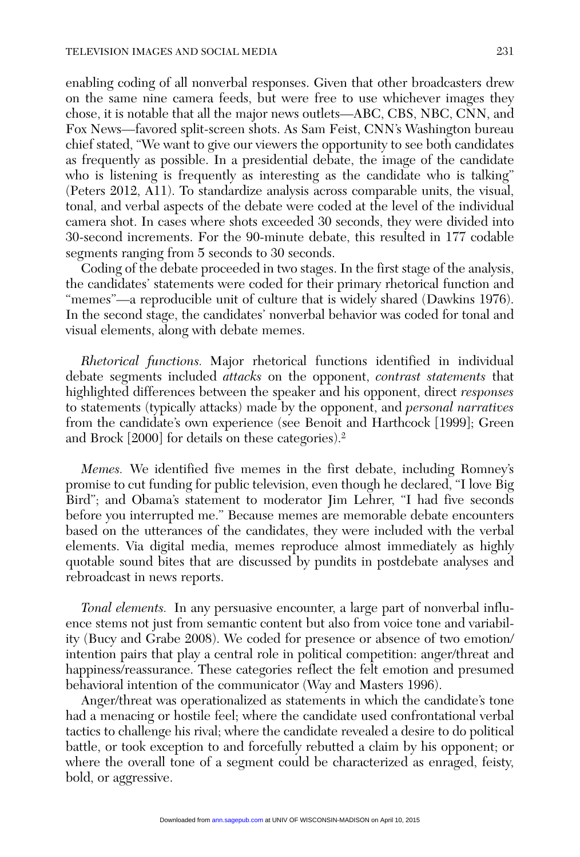enabling coding of all nonverbal responses. Given that other broadcasters drew on the same nine camera feeds, but were free to use whichever images they chose, it is notable that all the major news outlets—ABC, CBS, NBC, CNN, and Fox News—favored split-screen shots. As Sam Feist, CNN's Washington bureau chief stated, "We want to give our viewers the opportunity to see both candidates as frequently as possible. In a presidential debate, the image of the candidate who is listening is frequently as interesting as the candidate who is talking" (Peters 2012, A11). To standardize analysis across comparable units, the visual, tonal, and verbal aspects of the debate were coded at the level of the individual camera shot. In cases where shots exceeded 30 seconds, they were divided into 30-second increments. For the 90-minute debate, this resulted in 177 codable segments ranging from 5 seconds to 30 seconds.

Coding of the debate proceeded in two stages. In the first stage of the analysis, the candidates' statements were coded for their primary rhetorical function and "memes"—a reproducible unit of culture that is widely shared (Dawkins 1976). In the second stage, the candidates' nonverbal behavior was coded for tonal and visual elements, along with debate memes.

*Rhetorical functions.* Major rhetorical functions identified in individual debate segments included *attacks* on the opponent, *contrast statements* that highlighted differences between the speaker and his opponent, direct *responses* to statements (typically attacks) made by the opponent, and *personal narratives* from the candidate's own experience (see Benoit and Harthcock [1999]; Green and Brock [2000] for details on these categories).2

*Memes.* We identified five memes in the first debate, including Romney's promise to cut funding for public television, even though he declared, "I love Big Bird"; and Obama's statement to moderator Jim Lehrer, "I had five seconds before you interrupted me." Because memes are memorable debate encounters based on the utterances of the candidates, they were included with the verbal elements. Via digital media, memes reproduce almost immediately as highly quotable sound bites that are discussed by pundits in postdebate analyses and rebroadcast in news reports.

*Tonal elements.* In any persuasive encounter, a large part of nonverbal influence stems not just from semantic content but also from voice tone and variability (Bucy and Grabe 2008). We coded for presence or absence of two emotion/ intention pairs that play a central role in political competition: anger/threat and happiness/reassurance. These categories reflect the felt emotion and presumed behavioral intention of the communicator (Way and Masters 1996).

Anger/threat was operationalized as statements in which the candidate's tone had a menacing or hostile feel; where the candidate used confrontational verbal tactics to challenge his rival; where the candidate revealed a desire to do political battle, or took exception to and forcefully rebutted a claim by his opponent; or where the overall tone of a segment could be characterized as enraged, feisty, bold, or aggressive.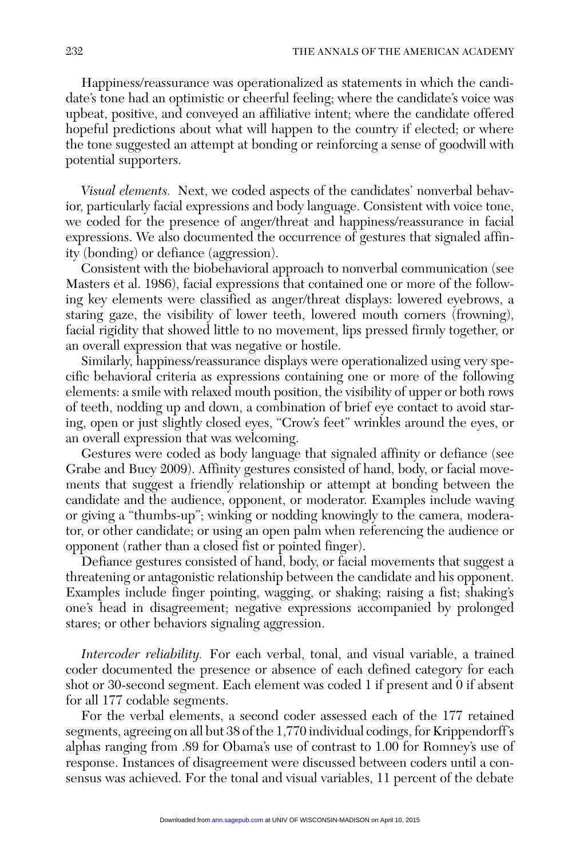Happiness/reassurance was operationalized as statements in which the candidate's tone had an optimistic or cheerful feeling; where the candidate's voice was upbeat, positive, and conveyed an affiliative intent; where the candidate offered hopeful predictions about what will happen to the country if elected; or where the tone suggested an attempt at bonding or reinforcing a sense of goodwill with potential supporters.

*Visual elements.* Next, we coded aspects of the candidates' nonverbal behavior, particularly facial expressions and body language. Consistent with voice tone, we coded for the presence of anger/threat and happiness/reassurance in facial expressions. We also documented the occurrence of gestures that signaled affinity (bonding) or defiance (aggression).

Consistent with the biobehavioral approach to nonverbal communication (see Masters et al. 1986), facial expressions that contained one or more of the following key elements were classified as anger/threat displays: lowered eyebrows, a staring gaze, the visibility of lower teeth, lowered mouth corners (frowning), facial rigidity that showed little to no movement, lips pressed firmly together, or an overall expression that was negative or hostile.

Similarly, happiness/reassurance displays were operationalized using very specific behavioral criteria as expressions containing one or more of the following elements: a smile with relaxed mouth position, the visibility of upper or both rows of teeth, nodding up and down, a combination of brief eye contact to avoid staring, open or just slightly closed eyes, "Crow's feet" wrinkles around the eyes, or an overall expression that was welcoming.

Gestures were coded as body language that signaled affinity or defiance (see Grabe and Bucy 2009). Affinity gestures consisted of hand, body, or facial movements that suggest a friendly relationship or attempt at bonding between the candidate and the audience, opponent, or moderator. Examples include waving or giving a "thumbs-up"; winking or nodding knowingly to the camera, moderator, or other candidate; or using an open palm when referencing the audience or opponent (rather than a closed fist or pointed finger).

Defiance gestures consisted of hand, body, or facial movements that suggest a threatening or antagonistic relationship between the candidate and his opponent. Examples include finger pointing, wagging, or shaking; raising a fist; shaking's one's head in disagreement; negative expressions accompanied by prolonged stares; or other behaviors signaling aggression.

*Intercoder reliability.* For each verbal, tonal, and visual variable, a trained coder documented the presence or absence of each defined category for each shot or 30-second segment. Each element was coded 1 if present and 0 if absent for all 177 codable segments.

For the verbal elements, a second coder assessed each of the 177 retained segments, agreeing on all but 38 of the 1,770 individual codings, for Krippendorff's alphas ranging from .89 for Obama's use of contrast to 1.00 for Romney's use of response. Instances of disagreement were discussed between coders until a consensus was achieved. For the tonal and visual variables, 11 percent of the debate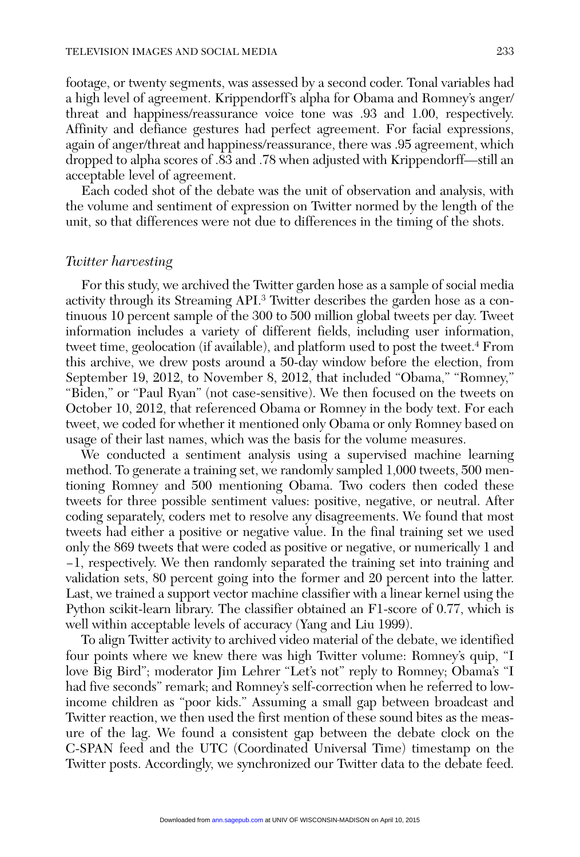footage, or twenty segments, was assessed by a second coder. Tonal variables had a high level of agreement. Krippendorff's alpha for Obama and Romney's anger/ threat and happiness/reassurance voice tone was .93 and 1.00, respectively. Affinity and defiance gestures had perfect agreement. For facial expressions, again of anger/threat and happiness/reassurance, there was .95 agreement, which dropped to alpha scores of .83 and .78 when adjusted with Krippendorff—still an acceptable level of agreement.

Each coded shot of the debate was the unit of observation and analysis, with the volume and sentiment of expression on Twitter normed by the length of the unit, so that differences were not due to differences in the timing of the shots.

#### *Twitter harvesting*

For this study, we archived the Twitter garden hose as a sample of social media activity through its Streaming API.3 Twitter describes the garden hose as a continuous 10 percent sample of the 300 to 500 million global tweets per day. Tweet information includes a variety of different fields, including user information, tweet time, geolocation (if available), and platform used to post the tweet.4 From this archive, we drew posts around a 50-day window before the election, from September 19, 2012, to November 8, 2012, that included "Obama," "Romney," "Biden," or "Paul Ryan" (not case-sensitive). We then focused on the tweets on October 10, 2012, that referenced Obama or Romney in the body text. For each tweet, we coded for whether it mentioned only Obama or only Romney based on usage of their last names, which was the basis for the volume measures.

We conducted a sentiment analysis using a supervised machine learning method. To generate a training set, we randomly sampled 1,000 tweets, 500 mentioning Romney and 500 mentioning Obama. Two coders then coded these tweets for three possible sentiment values: positive, negative, or neutral. After coding separately, coders met to resolve any disagreements. We found that most tweets had either a positive or negative value. In the final training set we used only the 869 tweets that were coded as positive or negative, or numerically 1 and −1, respectively. We then randomly separated the training set into training and validation sets, 80 percent going into the former and 20 percent into the latter. Last, we trained a support vector machine classifier with a linear kernel using the Python scikit-learn library. The classifier obtained an F1-score of 0.77, which is well within acceptable levels of accuracy (Yang and Liu 1999).

To align Twitter activity to archived video material of the debate, we identified four points where we knew there was high Twitter volume: Romney's quip, "I love Big Bird"; moderator Jim Lehrer "Let's not" reply to Romney; Obama's "I had five seconds" remark; and Romney's self-correction when he referred to lowincome children as "poor kids." Assuming a small gap between broadcast and Twitter reaction, we then used the first mention of these sound bites as the measure of the lag. We found a consistent gap between the debate clock on the C-SPAN feed and the UTC (Coordinated Universal Time) timestamp on the Twitter posts. Accordingly, we synchronized our Twitter data to the debate feed.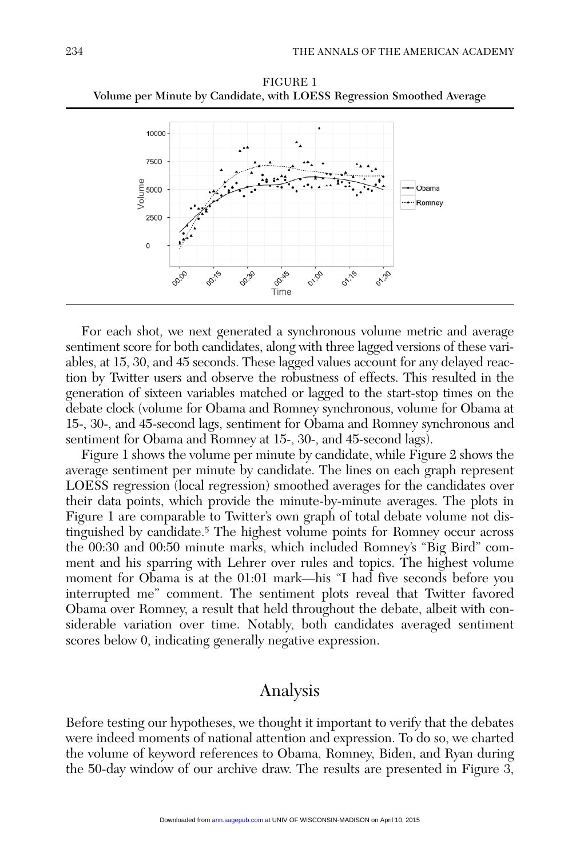FIGURE 1 Volume per Minute by Candidate, with LOESS Regression Smoothed Average



For each shot, we next generated a synchronous volume metric and average sentiment score for both candidates, along with three lagged versions of these variables, at 15, 30, and 45 seconds. These lagged values account for any delayed reaction by Twitter users and observe the robustness of effects. This resulted in the generation of sixteen variables matched or lagged to the start-stop times on the debate clock (volume for Obama and Romney synchronous, volume for Obama at 15-, 30-, and 45-second lags, sentiment for Obama and Romney synchronous and sentiment for Obama and Romney at 15-, 30-, and 45-second lags).

Figure 1 shows the volume per minute by candidate, while Figure 2 shows the average sentiment per minute by candidate. The lines on each graph represent LOESS regression (local regression) smoothed averages for the candidates over their data points, which provide the minute-by-minute averages. The plots in Figure 1 are comparable to Twitter's own graph of total debate volume not distinguished by candidate.5 The highest volume points for Romney occur across the 00:30 and 00:50 minute marks, which included Romney's "Big Bird" comment and his sparring with Lehrer over rules and topics. The highest volume moment for Obama is at the 01:01 mark—his "I had five seconds before you interrupted me" comment. The sentiment plots reveal that Twitter favored Obama over Romney, a result that held throughout the debate, albeit with considerable variation over time. Notably, both candidates averaged sentiment scores below 0, indicating generally negative expression.

## Analysis

Before testing our hypotheses, we thought it important to verify that the debates were indeed moments of national attention and expression. To do so, we charted the volume of keyword references to Obama, Romney, Biden, and Ryan during the 50-day window of our archive draw. The results are presented in Figure 3,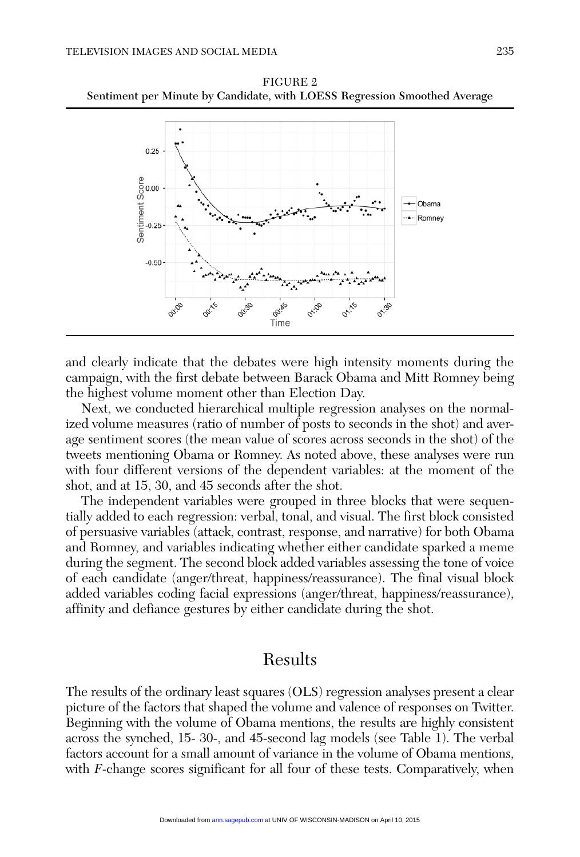

Figure 2 Sentiment per Minute by Candidate, with LOESS Regression Smoothed Average

and clearly indicate that the debates were high intensity moments during the campaign, with the first debate between Barack Obama and Mitt Romney being the highest volume moment other than Election Day.

Next, we conducted hierarchical multiple regression analyses on the normalized volume measures (ratio of number of posts to seconds in the shot) and average sentiment scores (the mean value of scores across seconds in the shot) of the tweets mentioning Obama or Romney. As noted above, these analyses were run with four different versions of the dependent variables: at the moment of the shot, and at 15, 30, and 45 seconds after the shot.

The independent variables were grouped in three blocks that were sequentially added to each regression: verbal, tonal, and visual. The first block consisted of persuasive variables (attack, contrast, response, and narrative) for both Obama and Romney, and variables indicating whether either candidate sparked a meme during the segment. The second block added variables assessing the tone of voice of each candidate (anger/threat, happiness/reassurance). The final visual block added variables coding facial expressions (anger/threat, happiness/reassurance), affinity and defiance gestures by either candidate during the shot.

### Results

The results of the ordinary least squares (OLS) regression analyses present a clear picture of the factors that shaped the volume and valence of responses on Twitter. Beginning with the volume of Obama mentions, the results are highly consistent across the synched, 15- 30-, and 45-second lag models (see Table 1). The verbal factors account for a small amount of variance in the volume of Obama mentions, with *F*-change scores significant for all four of these tests. Comparatively, when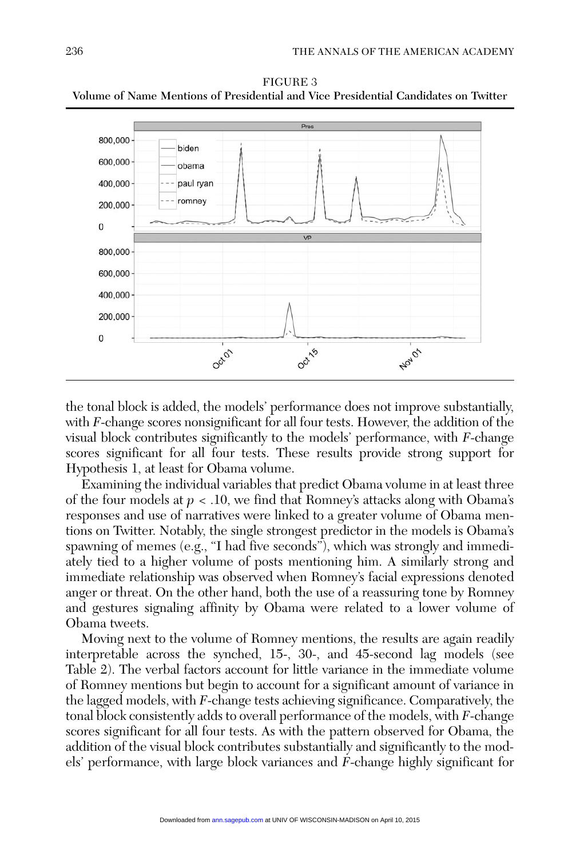

FIGURE 3 Volume of Name Mentions of Presidential and Vice Presidential Candidates on Twitter

the tonal block is added, the models' performance does not improve substantially, with *F*-change scores nonsignificant for all four tests. However, the addition of the visual block contributes significantly to the models' performance, with *F*-change scores significant for all four tests. These results provide strong support for Hypothesis 1, at least for Obama volume.

Examining the individual variables that predict Obama volume in at least three of the four models at *p* < .10, we find that Romney's attacks along with Obama's responses and use of narratives were linked to a greater volume of Obama mentions on Twitter. Notably, the single strongest predictor in the models is Obama's spawning of memes (e.g., "I had five seconds"), which was strongly and immediately tied to a higher volume of posts mentioning him. A similarly strong and immediate relationship was observed when Romney's facial expressions denoted anger or threat. On the other hand, both the use of a reassuring tone by Romney and gestures signaling affinity by Obama were related to a lower volume of Obama tweets.

Moving next to the volume of Romney mentions, the results are again readily interpretable across the synched, 15-, 30-, and 45-second lag models (see Table 2). The verbal factors account for little variance in the immediate volume of Romney mentions but begin to account for a significant amount of variance in the lagged models, with *F*-change tests achieving significance. Comparatively, the tonal block consistently adds to overall performance of the models, with *F*-change scores significant for all four tests. As with the pattern observed for Obama, the addition of the visual block contributes substantially and significantly to the models' performance, with large block variances and *F*-change highly significant for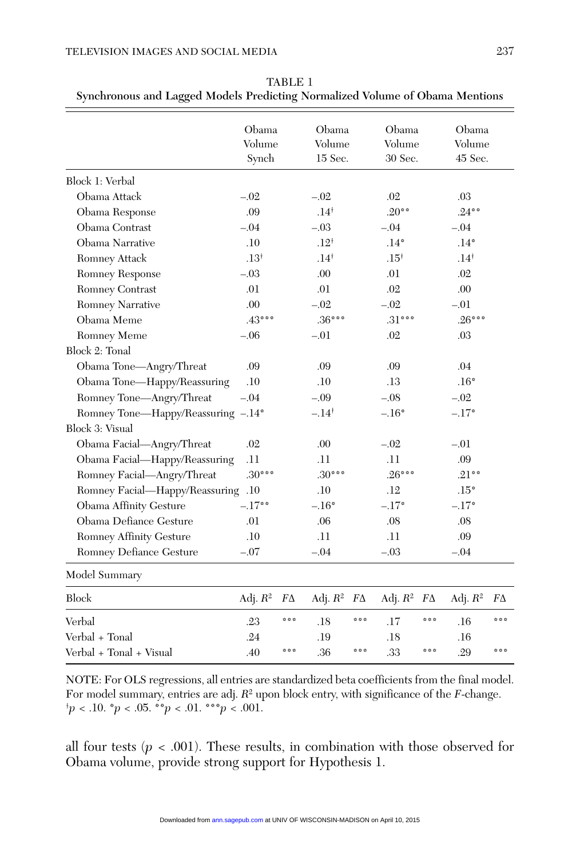|                                    | Obama                   |           | Obama            |           | Obama            |           | Obama                   |           |
|------------------------------------|-------------------------|-----------|------------------|-----------|------------------|-----------|-------------------------|-----------|
|                                    | Volume                  |           | Volume           |           | Volume           |           | Volume                  |           |
|                                    | Synch                   |           | 15 Sec.          |           | 30 Sec.          |           | 45 Sec.                 |           |
| Block 1: Verbal                    |                         |           |                  |           |                  |           |                         |           |
| Obama Attack                       | $-.02$                  |           | $-.02$           |           | .02              |           | .03                     |           |
| Obama Response                     | .09                     |           | .14 <sup>†</sup> |           | $.20^{\circ}$    |           | $.24^{\circ}$           |           |
| Obama Contrast                     | $-.04$                  |           | $-.03$           |           | $-.04$           |           | $-.04$                  |           |
| Obama Narrative                    | .10                     |           | $.12^{+}$        |           | $.14*$           |           | $.14^{\circ}$           |           |
| Romney Attack                      | .13 <sup>†</sup>        |           | .14 <sup>†</sup> |           | .15 <sup>†</sup> |           | .14 <sup>†</sup>        |           |
| Romney Response                    | $-.03$                  |           | .00              |           | .01              |           | .02                     |           |
| Romney Contrast                    | .01                     |           | .01              |           | .02              |           | .00                     |           |
| Romney Narrative                   | .00                     |           | $-.02$           |           | $-.02$           |           | $-.01$                  |           |
| Obama Meme                         | $.43^{\circ\circ\circ}$ |           | $.36***$         |           | $.31***$         |           | $.26^{\circ\circ\circ}$ |           |
| Romney Meme                        | $-.06$                  |           | $-.01$           |           | .02              |           | .03                     |           |
| Block 2: Tonal                     |                         |           |                  |           |                  |           |                         |           |
| Obama Tone-Angry/Threat            | .09                     |           | .09              |           | .09              |           | .04                     |           |
| Obama Tone-Happy/Reassuring        | .10                     |           | .10              |           | .13              |           | .16 <sup>°</sup>        |           |
| Romney Tone-Angry/Threat           | $-.04$                  |           | $-.09$           |           | $-.08$           |           | $-.02$                  |           |
| Romney Tone—Happy/Reassuring -.14* |                         |           | $-.14^{\dagger}$ |           | $-.16°$          |           | $-.17$ °                |           |
| <b>Block 3: Visual</b>             |                         |           |                  |           |                  |           |                         |           |
| Obama Facial-Angry/Threat          | .02                     |           | .00              |           | $-.02$           |           | $-.01$                  |           |
| Obama Facial-Happy/Reassuring      | .11                     |           | .11              |           | .11              |           | .09                     |           |
| Romney Facial-Angry/Threat         | $.30^{\circ\circ\circ}$ |           | $.30***$         |           | .26 $^{\circ}$   |           | .21 $^{\circ}$          |           |
| Romney Facial-Happy/Reassuring .10 |                         |           | .10              |           | .12              |           | $.15^{\circ}$           |           |
| Obama Affinity Gesture             | $-.17$ <sup>**</sup>    |           | $-.16°$          |           | $-.17^{\circ}$   |           | $-.17$ °                |           |
| Obama Defiance Gesture             | .01                     |           | .06              |           | .08              |           | .08                     |           |
| Romney Affinity Gesture            | .10                     |           | .11              |           | .11              |           | .09                     |           |
| Romney Defiance Gesture            | $-.07$                  |           | $-.04$           |           | $-.03$           |           | $-.04$                  |           |
| Model Summary                      |                         |           |                  |           |                  |           |                         |           |
| <b>Block</b>                       | Adj. $R^2$              | $F\Delta$ | Adj. $R^2$       | $F\Delta$ | Adj. $R^2$       | $F\Delta$ | Adj. $R^2$              | $F\Delta$ |
| Verbal                             | .23                     | 000       | .18              | 0.00      | .17              | 0.00      | .16                     | 0.0.0     |
| Verbal + Tonal                     | .24                     |           | .19              |           | .18              |           | .16                     |           |
| Verbal + Tonal + Visual            | .40                     | 000       | .36              | 0.00      | .33              | 0.00      | .29                     | 000       |

TABLE 1 Synchronous and Lagged Models Predicting Normalized Volume of Obama Mentions

NOTE: For OLS regressions, all entries are standardized beta coefficients from the final model. For model summary, entries are adj. *R*2 upon block entry, with significance of the *F*-change.  $\phi p < 0.10$ .  $\phi p < 0.05$ .  $\phi p < 0.01$ .  $\phi p < 0.001$ .

all four tests  $(p < .001)$ . These results, in combination with those observed for Obama volume, provide strong support for Hypothesis 1.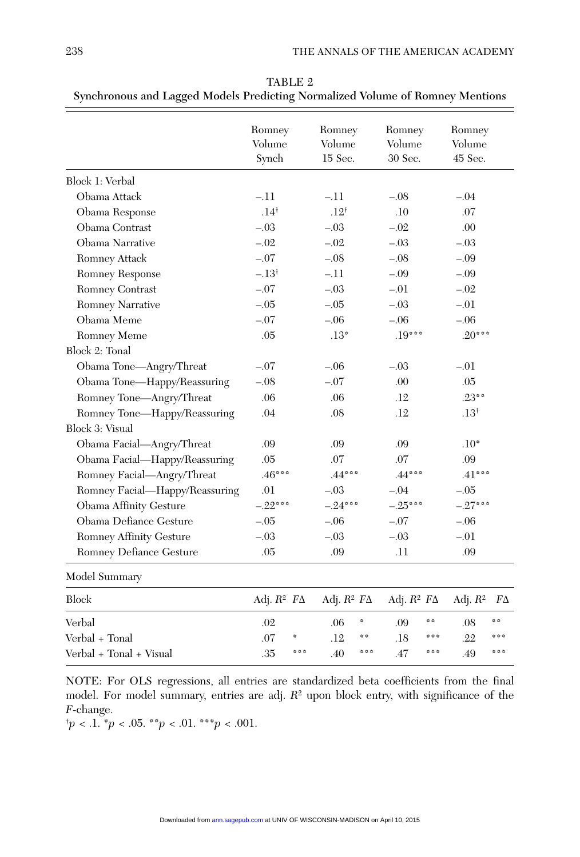|                                                 | Romney<br>Volume<br>Synch | Romney<br>Volume<br>15 Sec. | Romney<br>Volume<br>30 Sec. | Romney<br>Volume<br>45 Sec. |  |
|-------------------------------------------------|---------------------------|-----------------------------|-----------------------------|-----------------------------|--|
| Block 1: Verbal                                 |                           |                             |                             |                             |  |
| Obama Attack                                    | $-.11$                    | $-.11$                      | $-.08$                      | $-.04$                      |  |
| Obama Response                                  | .14 <sup>†</sup>          | $.12^{+}$                   | .10                         | .07                         |  |
| Obama Contrast                                  | $-.03$                    | $-.03$                      | $-.02$                      | .00                         |  |
| Obama Narrative                                 | $-.02$                    | $-.02$                      | $-.03$                      | $-.03$                      |  |
| Romney Attack                                   | $-.07$                    | $-.08$                      | $-.08$                      | $-.09$                      |  |
| Romney Response                                 | $-.13^{\dagger}$          | $-.11$                      | $-.09$                      | $-.09$                      |  |
| Romney Contrast                                 | $-.07$                    | $-.03$                      | $-.01$                      | $-.02$                      |  |
| Romney Narrative                                | $-.05$                    | $-.05$                      | $-.03$                      | $-.01$                      |  |
| Obama Meme                                      | $-.07$                    | $-.06$                      | $-.06$                      | $-.06$                      |  |
| Romney Meme                                     | .05                       | $.13*$                      | $.19***$                    | $.20^{\circ\circ\circ}$     |  |
| Block 2: Tonal                                  |                           |                             |                             |                             |  |
| Obama Tone-Angry/Threat                         | $-.07$                    | $-.06$                      | $-.03$                      | $-.01$                      |  |
| Obama Tone-Happy/Reassuring                     | $-.08$                    | $-.07$                      | .00                         | .05                         |  |
| Romney Tone-Angry/Threat                        | .06                       | .06                         | .12                         | $.23***$                    |  |
|                                                 | .04                       | .08                         | .12                         | .13 <sup>†</sup>            |  |
| Romney Tone-Happy/Reassuring<br>Block 3: Visual |                           |                             |                             |                             |  |
|                                                 | .09                       | .09                         | .09                         | .10 <sup>°</sup>            |  |
| Obama Facial-Angry/Threat                       | .05                       | .07                         | .07                         | .09                         |  |
| Obama Facial-Happy/Reassuring                   | $.46^{\circ\circ\circ}$   | $.44^{\circ\circ\circ}$     | $.44^{\circ\circ\circ}$     | $.41^{\circ\circ\circ}$     |  |
| Romney Facial-Angry/Threat                      |                           |                             |                             |                             |  |
| Romney Facial-Happy/Reassuring                  | .01                       | $-.03$                      | $-.04$                      | $-.05$<br>$-.27$ °°         |  |
| Obama Affinity Gesture                          | $-.22$                    | $-.24$ °°                   | $-.25$ °°°                  |                             |  |
| Obama Defiance Gesture                          | $-.05$                    | $-.06$                      | $-.07$                      | $-.06$                      |  |
| Romney Affinity Gesture                         | $-.03$                    | $-.03$                      | $-.03$                      | $-.01$                      |  |
| Romney Defiance Gesture                         | .05                       | .09                         | .11                         | .09                         |  |
| Model Summary                                   |                           |                             |                             |                             |  |
| <b>Block</b>                                    | Adj. $R^2$ $F\Delta$      | Adj. $R^2$ $F\Delta$        | Adj. $R^2$ $F\Delta$        | Adj. $R^2$<br>$F\Delta$     |  |
| Verbal                                          | .02                       | ¢<br>.06                    | .09<br>$\circ$              | $\circ$<br>.08              |  |
| Verbal + Tonal                                  | ¢<br>.07                  | .12<br>$\circ$              | 0.00<br>.18                 | .22<br>0.0.0                |  |
| Verbal + Tonal + Visual                         | 0.00<br>.35               | 000<br>.40                  | 0.00<br>.47                 | 0.0.0<br>.49                |  |

TABLE 2 Synchronous and Lagged Models Predicting Normalized Volume of Romney Mentions

NOTE: For OLS regressions, all entries are standardized beta coefficients from the final model. For model summary, entries are adj. *R*2 upon block entry, with significance of the *F*-change.

 $\phi p < 0.1.$   $\phi p < 0.05.$   $\phi p < 0.01.$   $\phi p < 0.001.$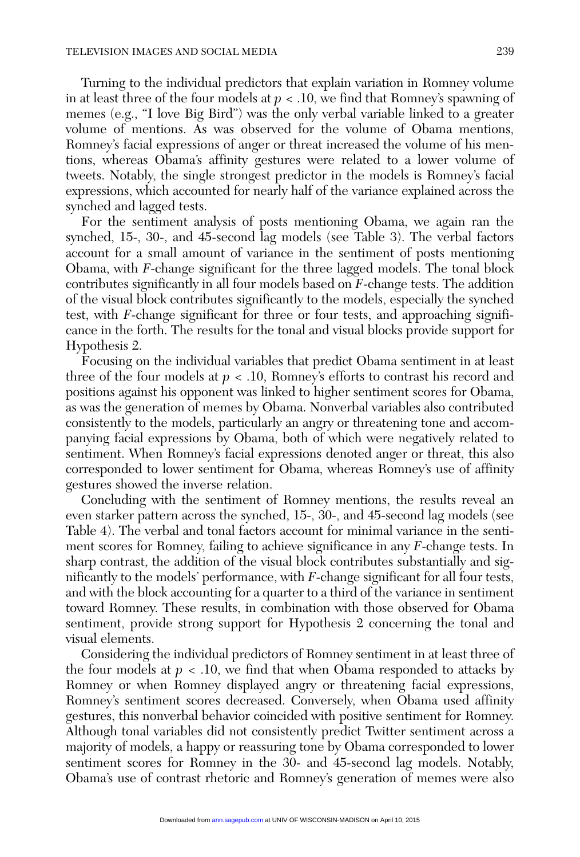Turning to the individual predictors that explain variation in Romney volume in at least three of the four models at *p* < .10, we find that Romney's spawning of memes (e.g., "I love Big Bird") was the only verbal variable linked to a greater volume of mentions. As was observed for the volume of Obama mentions, Romney's facial expressions of anger or threat increased the volume of his mentions, whereas Obama's affinity gestures were related to a lower volume of tweets. Notably, the single strongest predictor in the models is Romney's facial expressions, which accounted for nearly half of the variance explained across the synched and lagged tests.

For the sentiment analysis of posts mentioning Obama, we again ran the synched, 15-, 30-, and 45-second lag models (see Table 3). The verbal factors account for a small amount of variance in the sentiment of posts mentioning Obama, with *F*-change significant for the three lagged models. The tonal block contributes significantly in all four models based on *F*-change tests. The addition of the visual block contributes significantly to the models, especially the synched test, with *F*-change significant for three or four tests, and approaching significance in the forth. The results for the tonal and visual blocks provide support for Hypothesis 2.

Focusing on the individual variables that predict Obama sentiment in at least three of the four models at  $p < 0.10$ , Romney's efforts to contrast his record and positions against his opponent was linked to higher sentiment scores for Obama, as was the generation of memes by Obama. Nonverbal variables also contributed consistently to the models, particularly an angry or threatening tone and accompanying facial expressions by Obama, both of which were negatively related to sentiment. When Romney's facial expressions denoted anger or threat, this also corresponded to lower sentiment for Obama, whereas Romney's use of affinity gestures showed the inverse relation.

Concluding with the sentiment of Romney mentions, the results reveal an even starker pattern across the synched, 15-, 30-, and 45-second lag models (see Table 4). The verbal and tonal factors account for minimal variance in the sentiment scores for Romney, failing to achieve significance in any *F*-change tests. In sharp contrast, the addition of the visual block contributes substantially and significantly to the models' performance, with *F*-change significant for all four tests, and with the block accounting for a quarter to a third of the variance in sentiment toward Romney. These results, in combination with those observed for Obama sentiment, provide strong support for Hypothesis 2 concerning the tonal and visual elements.

Considering the individual predictors of Romney sentiment in at least three of the four models at  $p < 0.10$ , we find that when Obama responded to attacks by Romney or when Romney displayed angry or threatening facial expressions, Romney's sentiment scores decreased. Conversely, when Obama used affinity gestures, this nonverbal behavior coincided with positive sentiment for Romney. Although tonal variables did not consistently predict Twitter sentiment across a majority of models, a happy or reassuring tone by Obama corresponded to lower sentiment scores for Romney in the 30- and 45-second lag models. Notably, Obama's use of contrast rhetoric and Romney's generation of memes were also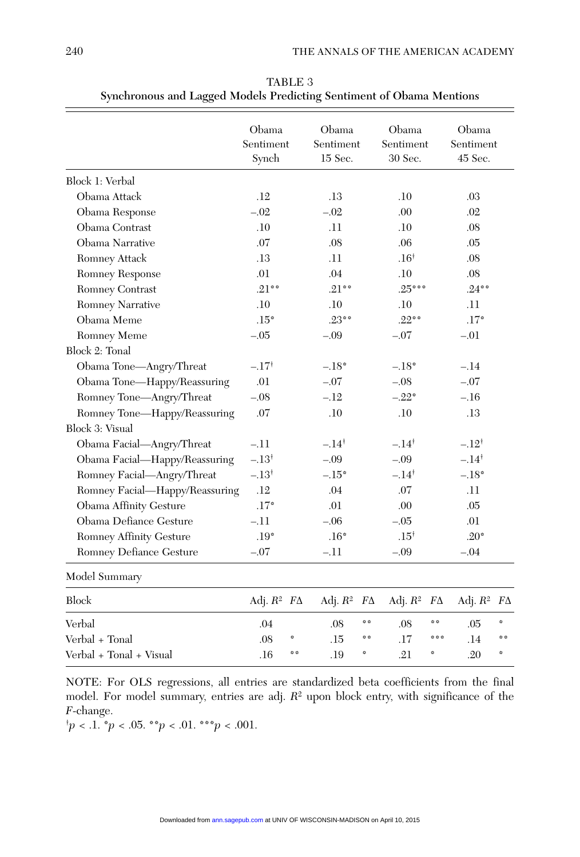|                                | Obama<br>Sentiment<br>Synch |         | Obama<br>Sentiment<br>15 Sec. |               | Obama<br>Sentiment<br>30 Sec. |                                     | Obama<br>Sentiment<br>45 Sec. |           |
|--------------------------------|-----------------------------|---------|-------------------------------|---------------|-------------------------------|-------------------------------------|-------------------------------|-----------|
| Block 1: Verbal                |                             |         |                               |               |                               |                                     |                               |           |
| Obama Attack                   | $.12\,$                     |         | .13                           |               | .10                           |                                     | .03                           |           |
| Obama Response                 | $-.02$                      |         | $-.02$                        |               | .00                           |                                     | .02                           |           |
| Obama Contrast                 | .10                         |         | .11                           |               | .10                           |                                     | .08                           |           |
| Obama Narrative                | .07                         |         | .08                           |               | .06                           |                                     | .05                           |           |
| Romney Attack                  | .13                         |         | .11                           |               | .16 <sup>†</sup>              |                                     | .08                           |           |
| Romney Response                | .01                         |         | .04                           |               | .10                           |                                     | .08                           |           |
| Romney Contrast                | .21 $^{\circ}$              |         | .21 $^{\circ}$                |               | .25 $^{\circ}$                |                                     | .24 $\degree$                 |           |
| Romney Narrative               | .10                         |         | .10                           |               | .10                           |                                     | .11                           |           |
| Obama Meme                     | $.15^{\circ}$               |         | $.23***$                      | .22**         |                               |                                     | $.17*$                        |           |
| Romney Meme                    | $-.05$                      |         | $-.09$                        |               | $-.07$                        |                                     | $-.01$                        |           |
| Block 2: Tonal                 |                             |         |                               |               |                               |                                     |                               |           |
| Obama Tone-Angry/Threat        | $-.17†$                     |         | $-.18°$                       |               | $-.18°$                       |                                     | $-.14$                        |           |
| Obama Tone-Happy/Reassuring    | .01                         |         | $-.07$                        |               | $-.08$                        |                                     | $-.07$                        |           |
| Romney Tone-Angry/Threat       | $-.08$                      |         | $-.12$                        |               | $-.22$ <sup>*</sup>           |                                     | $-.16$                        |           |
| Romney Tone—Happy/Reassuring   | .07                         |         | .10                           |               | .10                           |                                     | .13                           |           |
| Block 3: Visual                |                             |         |                               |               |                               |                                     |                               |           |
| Obama Facial-Angry/Threat      | $-.11$                      |         | $-.14†$                       |               | $-.14^{\dagger}$              |                                     | $-.12^{\dagger}$              |           |
| Obama Facial-Happy/Reassuring  | $-.13†$                     |         | $-.09$                        |               | $-.09$                        |                                     | $-.14^{\dagger}$              |           |
| Romney Facial-Angry/Threat     | $-.13†$                     |         | $-.15$ °                      |               | $-.14†$                       |                                     | $-.18$ °                      |           |
| Romney Facial-Happy/Reassuring | $.12\,$                     |         | .04                           |               | .07                           |                                     | .11                           |           |
| Obama Affinity Gesture         | $.17^{\circ}$               |         | .01                           |               | .00                           |                                     | .05                           |           |
| Obama Defiance Gesture         | $-.11$                      |         | $-.06$                        |               | $-.05$                        |                                     | .01                           |           |
| Romney Affinity Gesture        | .19 <sup>°</sup>            |         | $.16*$                        |               | $.15^+$                       |                                     | $.20^{\circ}$                 |           |
| Romney Defiance Gesture        | $-.07$                      |         | $-.11$                        |               | $-.09$                        |                                     | $-.04$                        |           |
| Model Summary                  |                             |         |                               |               |                               |                                     |                               |           |
| <b>Block</b>                   | Adj. $R^2$ $F\Delta$        |         | Adj. $R^2$                    | $F\Delta$     | Adj. $R^2$                    | $F\Delta$                           | Adj. $R^2$                    | $F\Delta$ |
| Verbal                         | .04                         |         | .08                           | $\phi$ $\phi$ | .08                           | $\ddot{\text{o}}$ $\ddot{\text{o}}$ | .05                           | ¢         |
| Verbal + Tonal                 | .08                         | ۰       | .15                           | $\circ$       | .17                           | 0.0.0                               | .14                           | $\circ$   |
| Verbal + Tonal + Visual        | .16                         | $\circ$ | .19                           | ۰             | .21                           | ۰                                   | .20                           | ۰         |

TABLE 3 Synchronous and Lagged Models Predicting Sentiment of Obama Mentions

NOTE: For OLS regressions, all entries are standardized beta coefficients from the final model. For model summary, entries are adj. *R*2 upon block entry, with significance of the *F*-change.

 $\phi \sim 1.$  \* $p < .05$ . \*\* $p < .01$ . \*\*\* $p < .001$ .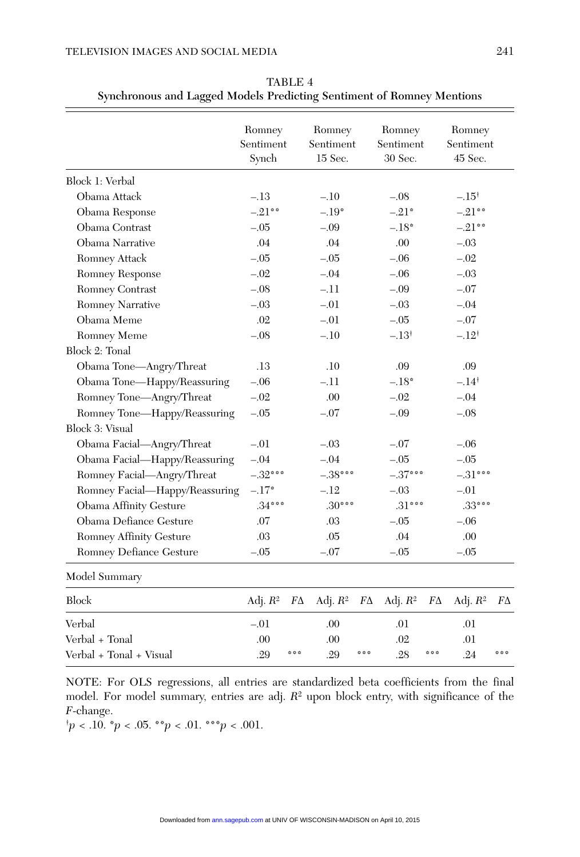#### Television Images and Social Media 241

|                                | Romney<br>Sentiment<br>Synch |           | Romney<br>Sentiment<br>15 Sec. |           | Romney<br>Sentiment<br>30 Sec. |           | Romney<br>Sentiment<br>45 Sec. |     |
|--------------------------------|------------------------------|-----------|--------------------------------|-----------|--------------------------------|-----------|--------------------------------|-----|
| Block 1: Verbal                |                              |           |                                |           |                                |           |                                |     |
| Obama Attack                   | $-.13$                       |           | $-.10$                         |           | $-.08$                         |           | $-.15^{\dagger}$               |     |
| Obama Response                 | $-.21$ °°                    |           | $-.19$ °                       |           | $-.21$ °                       |           | $-.21$ **                      |     |
| Obama Contrast                 | $-.05$                       |           | $-.09$                         |           | $-.18^\circ$                   |           | $-.21$ **                      |     |
| Obama Narrative                | .04                          |           | .04                            |           | .00                            |           | $-.03$                         |     |
| Romney Attack                  | $-.05$                       |           | $-.05$                         |           | $-.06$                         |           | $-.02$                         |     |
| Romney Response                | $-.02$                       |           | $-.04$                         |           | $-.06$                         |           | $-.03$                         |     |
| Romney Contrast                | $-.08$                       |           | $-.11$                         |           | $-.09$                         |           | $-.07$                         |     |
| Romney Narrative               | $-.03$                       |           | $-.01$                         |           | $-.03$                         |           | $-.04$                         |     |
| Obama Meme                     | .02                          |           | $-.01$                         |           | $-.05$                         |           | $-.07$                         |     |
| Romney Meme                    | $-.08$                       |           | $-.10$                         |           | $-.13^{\dagger}$               |           | $-.12^+$                       |     |
| Block 2: Tonal                 |                              |           |                                |           |                                |           |                                |     |
| Obama Tone-Angry/Threat        | .13                          |           | .10                            |           | .09                            |           | .09                            |     |
| Obama Tone-Happy/Reassuring    | $-.06$                       |           | $-.11$                         |           | $-.18°$                        |           | $-.14†$                        |     |
| Romney Tone—Angry/Threat       | $-.02$                       |           | .00                            |           | $-.02$                         |           | $-.04$                         |     |
| Romney Tone—Happy/Reassuring   | $-.05$                       |           | $-.07$                         |           | $-.09$                         |           | $-.08$                         |     |
| Block 3: Visual                |                              |           |                                |           |                                |           |                                |     |
| Obama Facial-Angry/Threat      | $-.01$                       |           | $-.03$                         |           | $-.07$                         |           | $-.06$                         |     |
| Obama Facial-Happy/Reassuring  | $-.04$                       |           | $-.04$                         |           | $-.05$                         |           | $-.05$                         |     |
| Romney Facial-Angry/Threat     | $-.32$ °°°                   |           | $-.38^{\circ\circ}$            |           | $-.37$ °°                      |           | $-31$ ***                      |     |
| Romney Facial-Happy/Reassuring | $-.17^{\circ}$               |           | $-.12$                         |           | $-.03$                         |           | $-.01$                         |     |
| Obama Affinity Gesture         | $.34$ °°                     |           | $.30^{\circ\circ\circ}$        |           | $.31$ °°°                      |           | $.33***$                       |     |
| Obama Defiance Gesture         | .07                          |           | .03                            |           | $-.05$                         |           | $-.06$                         |     |
| Romney Affinity Gesture        | .03                          |           | .05                            |           | .04                            |           | .00                            |     |
| Romney Defiance Gesture        | $-.05$                       |           | $-.07$                         |           | $-.05$                         |           | $^{\rm -.05}$                  |     |
| Model Summary                  |                              |           |                                |           |                                |           |                                |     |
| <b>Block</b>                   | Adj. $R^2$                   | $F\Delta$ | Adj. $R^2$                     | $F\Delta$ | Adj. $R^2$                     | $F\Delta$ | Adj. $R^2$                     | FΔ  |
| Verbal                         | $-.01$                       |           | .00                            |           | .01                            |           | .01                            |     |
| Verbal + Tonal                 | .00                          |           | .00                            |           | .02                            |           | .01                            |     |
| Verbal + Tonal + Visual        | .29                          | 000       | .29                            | 000       | .28                            | 000       | .24                            | 000 |

TABLE 4 Synchronous and Lagged Models Predicting Sentiment of Romney Mentions

NOTE: For OLS regressions, all entries are standardized beta coefficients from the final model. For model summary, entries are adj. *R*2 upon block entry, with significance of the *F*-change.

 $^{\dagger}p$  < .10.  $^{\circ}p$  < .05.  $^{\circ}$  $^{\circ}p$  < .01.  $^{\circ}$  $^{\circ}p$  < .001.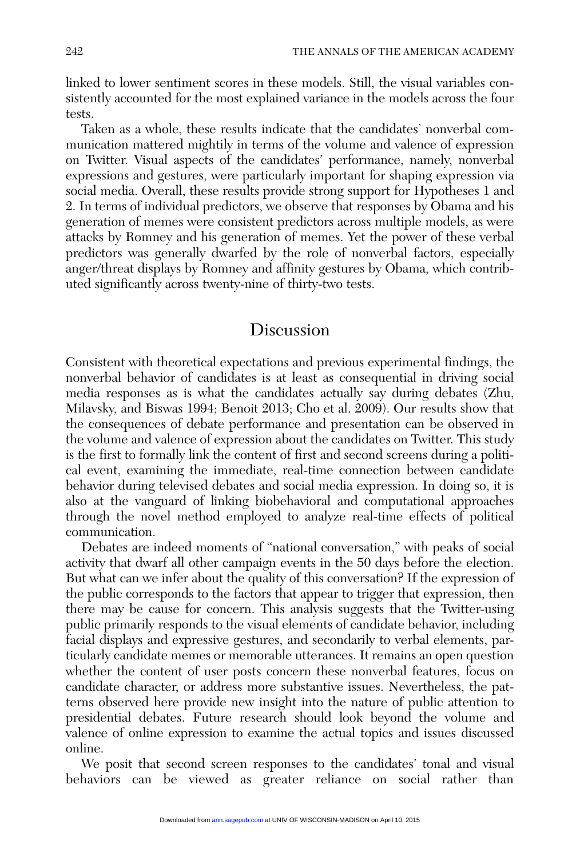linked to lower sentiment scores in these models. Still, the visual variables consistently accounted for the most explained variance in the models across the four tests.

Taken as a whole, these results indicate that the candidates' nonverbal communication mattered mightily in terms of the volume and valence of expression on Twitter. Visual aspects of the candidates' performance, namely, nonverbal expressions and gestures, were particularly important for shaping expression via social media. Overall, these results provide strong support for Hypotheses 1 and 2. In terms of individual predictors, we observe that responses by Obama and his generation of memes were consistent predictors across multiple models, as were attacks by Romney and his generation of memes. Yet the power of these verbal predictors was generally dwarfed by the role of nonverbal factors, especially anger/threat displays by Romney and affinity gestures by Obama, which contributed significantly across twenty-nine of thirty-two tests.

### Discussion

Consistent with theoretical expectations and previous experimental findings, the nonverbal behavior of candidates is at least as consequential in driving social media responses as is what the candidates actually say during debates (Zhu, Milavsky, and Biswas 1994; Benoit 2013; Cho et al. 2009). Our results show that the consequences of debate performance and presentation can be observed in the volume and valence of expression about the candidates on Twitter. This study is the first to formally link the content of first and second screens during a political event, examining the immediate, real-time connection between candidate behavior during televised debates and social media expression. In doing so, it is also at the vanguard of linking biobehavioral and computational approaches through the novel method employed to analyze real-time effects of political communication.

Debates are indeed moments of "national conversation," with peaks of social activity that dwarf all other campaign events in the 50 days before the election. But what can we infer about the quality of this conversation? If the expression of the public corresponds to the factors that appear to trigger that expression, then there may be cause for concern. This analysis suggests that the Twitter-using public primarily responds to the visual elements of candidate behavior, including facial displays and expressive gestures, and secondarily to verbal elements, particularly candidate memes or memorable utterances. It remains an open question whether the content of user posts concern these nonverbal features, focus on candidate character, or address more substantive issues. Nevertheless, the patterns observed here provide new insight into the nature of public attention to presidential debates. Future research should look beyond the volume and valence of online expression to examine the actual topics and issues discussed online.

We posit that second screen responses to the candidates' tonal and visual behaviors can be viewed as greater reliance on social rather than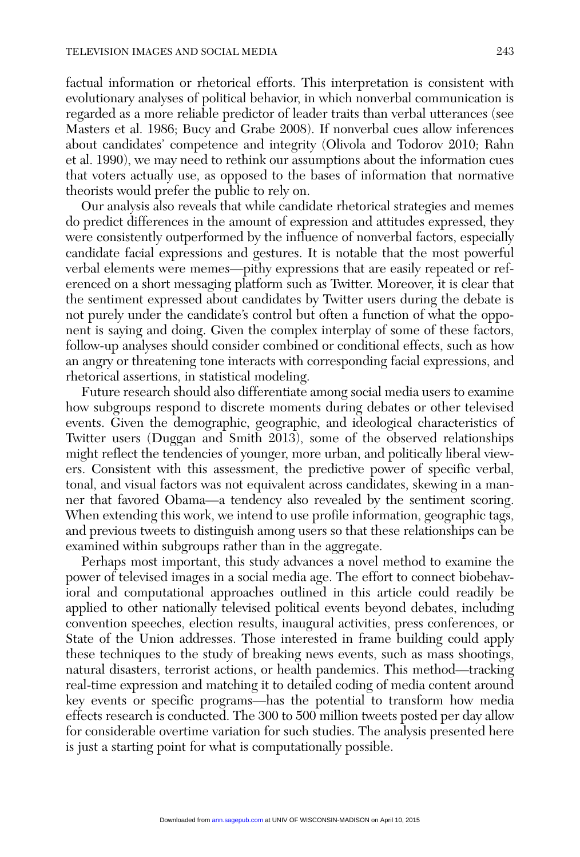factual information or rhetorical efforts. This interpretation is consistent with evolutionary analyses of political behavior, in which nonverbal communication is regarded as a more reliable predictor of leader traits than verbal utterances (see Masters et al. 1986; Bucy and Grabe 2008). If nonverbal cues allow inferences about candidates' competence and integrity (Olivola and Todorov 2010; Rahn et al. 1990), we may need to rethink our assumptions about the information cues that voters actually use, as opposed to the bases of information that normative theorists would prefer the public to rely on.

Our analysis also reveals that while candidate rhetorical strategies and memes do predict differences in the amount of expression and attitudes expressed, they were consistently outperformed by the influence of nonverbal factors, especially candidate facial expressions and gestures. It is notable that the most powerful verbal elements were memes—pithy expressions that are easily repeated or referenced on a short messaging platform such as Twitter. Moreover, it is clear that the sentiment expressed about candidates by Twitter users during the debate is not purely under the candidate's control but often a function of what the opponent is saying and doing. Given the complex interplay of some of these factors, follow-up analyses should consider combined or conditional effects, such as how an angry or threatening tone interacts with corresponding facial expressions, and rhetorical assertions, in statistical modeling.

Future research should also differentiate among social media users to examine how subgroups respond to discrete moments during debates or other televised events. Given the demographic, geographic, and ideological characteristics of Twitter users (Duggan and Smith 2013), some of the observed relationships might reflect the tendencies of younger, more urban, and politically liberal viewers. Consistent with this assessment, the predictive power of specific verbal, tonal, and visual factors was not equivalent across candidates, skewing in a manner that favored Obama—a tendency also revealed by the sentiment scoring. When extending this work, we intend to use profile information, geographic tags, and previous tweets to distinguish among users so that these relationships can be examined within subgroups rather than in the aggregate.

Perhaps most important, this study advances a novel method to examine the power of televised images in a social media age. The effort to connect biobehavioral and computational approaches outlined in this article could readily be applied to other nationally televised political events beyond debates, including convention speeches, election results, inaugural activities, press conferences, or State of the Union addresses. Those interested in frame building could apply these techniques to the study of breaking news events, such as mass shootings, natural disasters, terrorist actions, or health pandemics. This method—tracking real-time expression and matching it to detailed coding of media content around key events or specific programs—has the potential to transform how media effects research is conducted. The 300 to 500 million tweets posted per day allow for considerable overtime variation for such studies. The analysis presented here is just a starting point for what is computationally possible.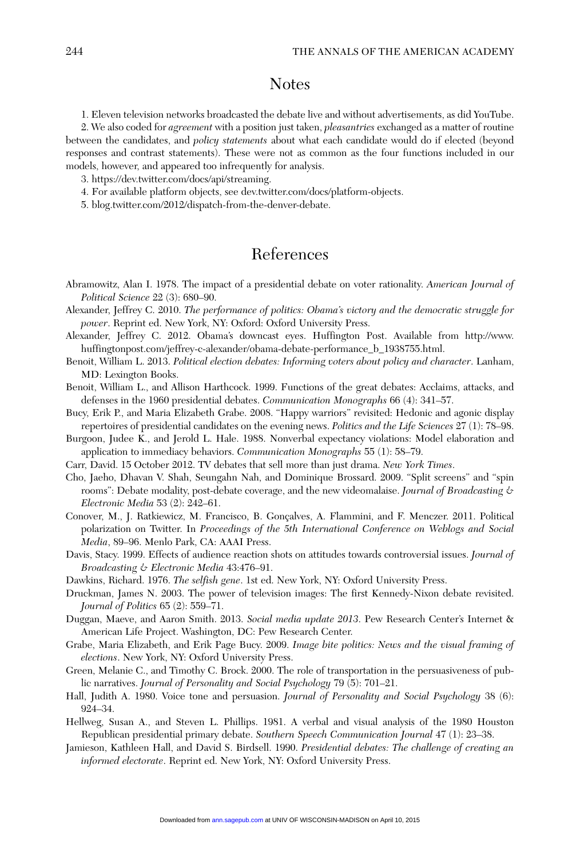### **Notes**

1. Eleven television networks broadcasted the debate live and without advertisements, as did YouTube.

2. We also coded for *agreement* with a position just taken, *pleasantries* exchanged as a matter of routine between the candidates, and *policy statements* about what each candidate would do if elected (beyond responses and contrast statements). These were not as common as the four functions included in our models, however, and appeared too infrequently for analysis.

3. [https://dev.twitter.com/docs/api/streaming.](https://dev.twitter.com/docs/api/streaming)

- 4. For available platform objects, see dev.twitter.com/docs/platform-objects.
- 5. blog.twitter.com/2012/dispatch-from-the-denver-debate.

## References

- Abramowitz, Alan I. 1978. The impact of a presidential debate on voter rationality. *American Journal of Political Science* 22 (3): 680–90.
- Alexander, Jeffrey C. 2010. *The performance of politics: Obama's victory and the democratic struggle for power*. Reprint ed. New York, NY: Oxford: Oxford University Press.
- Alexander, Jeffrey C. 2012. Obama's downcast eyes. Huffington Post. Available from [http://www.](http://www.huffingtonpost.com/jeffrey-c-alexander/obama-debate-performance_b_1938755.html) [huffingtonpost.com/jeffrey-c-alexander/obama-debate-performance\\_b\\_1938755.html](http://www.huffingtonpost.com/jeffrey-c-alexander/obama-debate-performance_b_1938755.html).
- Benoit, William L. 2013. *Political election debates: Informing voters about policy and character*. Lanham, MD: Lexington Books.
- Benoit, William L., and Allison Harthcock. 1999. Functions of the great debates: Acclaims, attacks, and defenses in the 1960 presidential debates. *Communication Monographs* 66 (4): 341–57.
- Bucy, Erik P., and Maria Elizabeth Grabe. 2008. "Happy warriors" revisited: Hedonic and agonic display repertoires of presidential candidates on the evening news. *Politics and the Life Sciences* 27 (1): 78–98.
- Burgoon, Judee K., and Jerold L. Hale. 1988. Nonverbal expectancy violations: Model elaboration and application to immediacy behaviors. *Communication Monographs* 55 (1): 58–79.
- Carr, David. 15 October 2012. TV debates that sell more than just drama. *New York Times*.
- Cho, Jaeho, Dhavan V. Shah, Seungahn Nah, and Dominique Brossard. 2009. "Split screens" and "spin rooms": Debate modality, post-debate coverage, and the new videomalaise. *Journal of Broadcasting & Electronic Media* 53 (2): 242–61.
- Conover, M., J. Ratkiewicz, M. Francisco, B. Gonçalves, A. Flammini, and F. Menczer. 2011. Political polarization on Twitter. In *Proceedings of the 5th International Conference on Weblogs and Social Media*, 89–96. Menlo Park, CA: AAAI Press.
- Davis, Stacy. 1999. Effects of audience reaction shots on attitudes towards controversial issues. *Journal of Broadcasting & Electronic Media* 43:476–91.

Dawkins, Richard. 1976. *The selfish gene*. 1st ed. New York, NY: Oxford University Press.

- Druckman, James N. 2003. The power of television images: The first Kennedy-Nixon debate revisited. *Journal of Politics* 65 (2): 559–71.
- Duggan, Maeve, and Aaron Smith. 2013. *Social media update 2013*. Pew Research Center's Internet & American Life Project. Washington, DC: Pew Research Center.
- Grabe, Maria Elizabeth, and Erik Page Bucy. 2009. *Image bite politics: News and the visual framing of elections*. New York, NY: Oxford University Press.
- Green, Melanie C., and Timothy C. Brock. 2000. The role of transportation in the persuasiveness of public narratives. *Journal of Personality and Social Psychology* 79 (5): 701–21.
- Hall, Judith A. 1980. Voice tone and persuasion. *Journal of Personality and Social Psychology* 38 (6): 924–34.
- Hellweg, Susan A., and Steven L. Phillips. 1981. A verbal and visual analysis of the 1980 Houston Republican presidential primary debate. *Southern Speech Communication Journal* 47 (1): 23–38.
- Jamieson, Kathleen Hall, and David S. Birdsell. 1990. *Presidential debates: The challenge of creating an informed electorate*. Reprint ed. New York, NY: Oxford University Press.